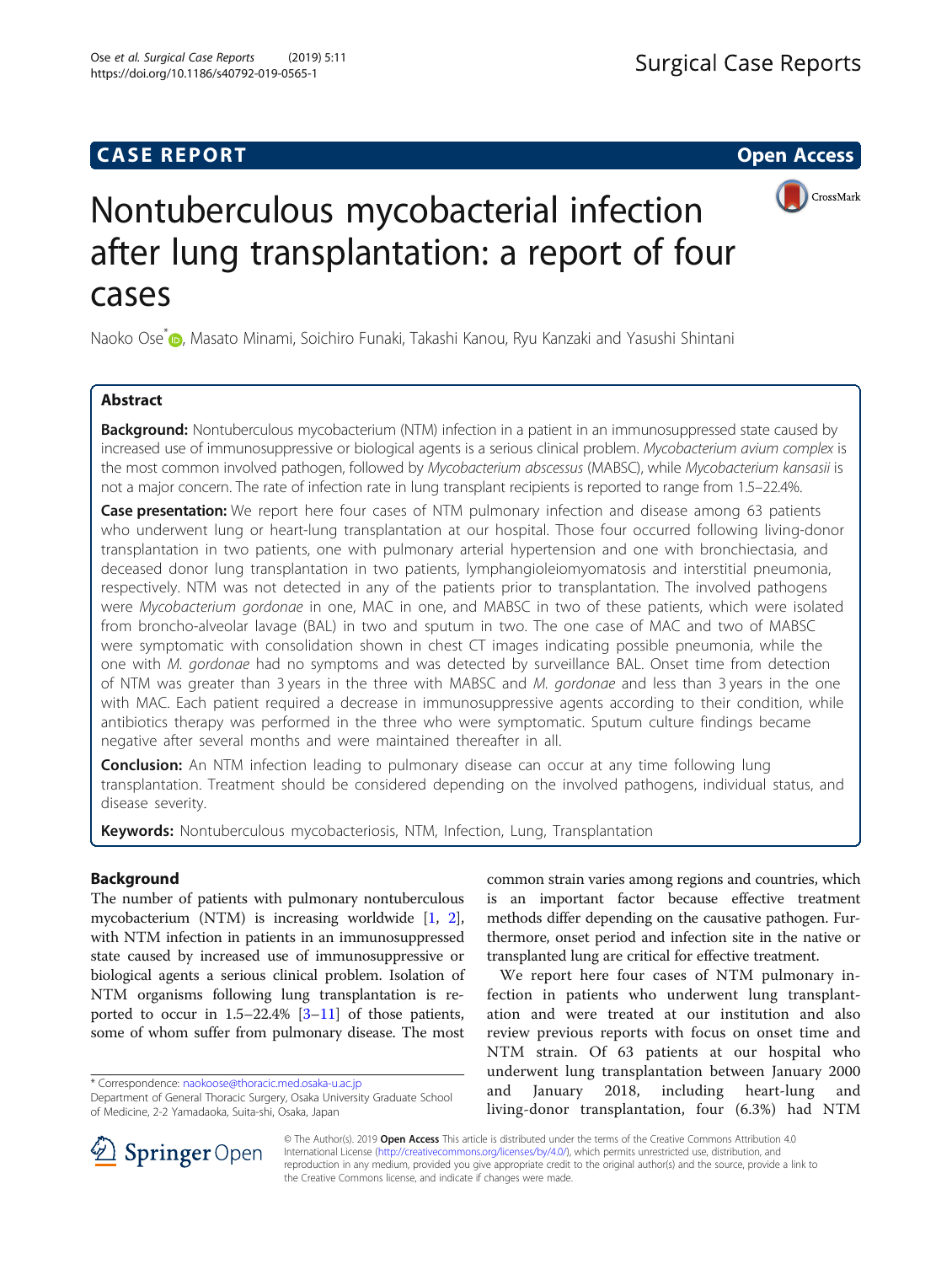## **CASE REPORT CASE REPORT CASE REPORT**



# Nontuberculous mycobacterial infection after lung transplantation: a report of four cases

Naoko Ose<sup>[\\*](http://orcid.org/0000-0002-3509-9536)</sup> , Masato Minami, Soichiro Funaki, Takashi Kanou, Ryu Kanzaki and Yasushi Shintani

## Abstract

**Background:** Nontuberculous mycobacterium (NTM) infection in a patient in an immunosuppressed state caused by increased use of immunosuppressive or biological agents is a serious clinical problem. Mycobacterium avium complex is the most common involved pathogen, followed by Mycobacterium abscessus (MABSC), while Mycobacterium kansasii is not a major concern. The rate of infection rate in lung transplant recipients is reported to range from 1.5–22.4%.

Case presentation: We report here four cases of NTM pulmonary infection and disease among 63 patients who underwent lung or heart-lung transplantation at our hospital. Those four occurred following living-donor transplantation in two patients, one with pulmonary arterial hypertension and one with bronchiectasia, and deceased donor lung transplantation in two patients, lymphangioleiomyomatosis and interstitial pneumonia, respectively. NTM was not detected in any of the patients prior to transplantation. The involved pathogens were Mycobacterium gordonae in one, MAC in one, and MABSC in two of these patients, which were isolated from broncho-alveolar lavage (BAL) in two and sputum in two. The one case of MAC and two of MABSC were symptomatic with consolidation shown in chest CT images indicating possible pneumonia, while the one with M. gordonae had no symptoms and was detected by surveillance BAL. Onset time from detection of NTM was greater than 3 years in the three with MABSC and  $M$ . gordonae and less than 3 years in the one with MAC. Each patient required a decrease in immunosuppressive agents according to their condition, while antibiotics therapy was performed in the three who were symptomatic. Sputum culture findings became negative after several months and were maintained thereafter in all.

**Conclusion:** An NTM infection leading to pulmonary disease can occur at any time following lung transplantation. Treatment should be considered depending on the involved pathogens, individual status, and disease severity.

Keywords: Nontuberculous mycobacteriosis, NTM, Infection, Lung, Transplantation

## Background

The number of patients with pulmonary nontuberculous mycobacterium (NTM) is increasing worldwide [[1,](#page-6-0) [2](#page-6-0)], with NTM infection in patients in an immunosuppressed state caused by increased use of immunosuppressive or biological agents a serious clinical problem. Isolation of NTM organisms following lung transplantation is reported to occur in  $1.5-22.4\%$  [[3](#page-6-0)-[11\]](#page-6-0) of those patients, some of whom suffer from pulmonary disease. The most

\* Correspondence: [naokoose@thoracic.med.osaka-u.ac.jp](mailto:naokoose@thoracic.med.osaka-u.ac.jp)

Department of General Thoracic Surgery, Osaka University Graduate School of Medicine, 2-2 Yamadaoka, Suita-shi, Osaka, Japan

common strain varies among regions and countries, which is an important factor because effective treatment methods differ depending on the causative pathogen. Furthermore, onset period and infection site in the native or transplanted lung are critical for effective treatment.

We report here four cases of NTM pulmonary infection in patients who underwent lung transplantation and were treated at our institution and also review previous reports with focus on onset time and NTM strain. Of 63 patients at our hospital who underwent lung transplantation between January 2000 and January 2018, including heart-lung and living-donor transplantation, four (6.3%) had NTM



© The Author(s). 2019 Open Access This article is distributed under the terms of the Creative Commons Attribution 4.0 International License ([http://creativecommons.org/licenses/by/4.0/\)](http://creativecommons.org/licenses/by/4.0/), which permits unrestricted use, distribution, and reproduction in any medium, provided you give appropriate credit to the original author(s) and the source, provide a link to the Creative Commons license, and indicate if changes were made.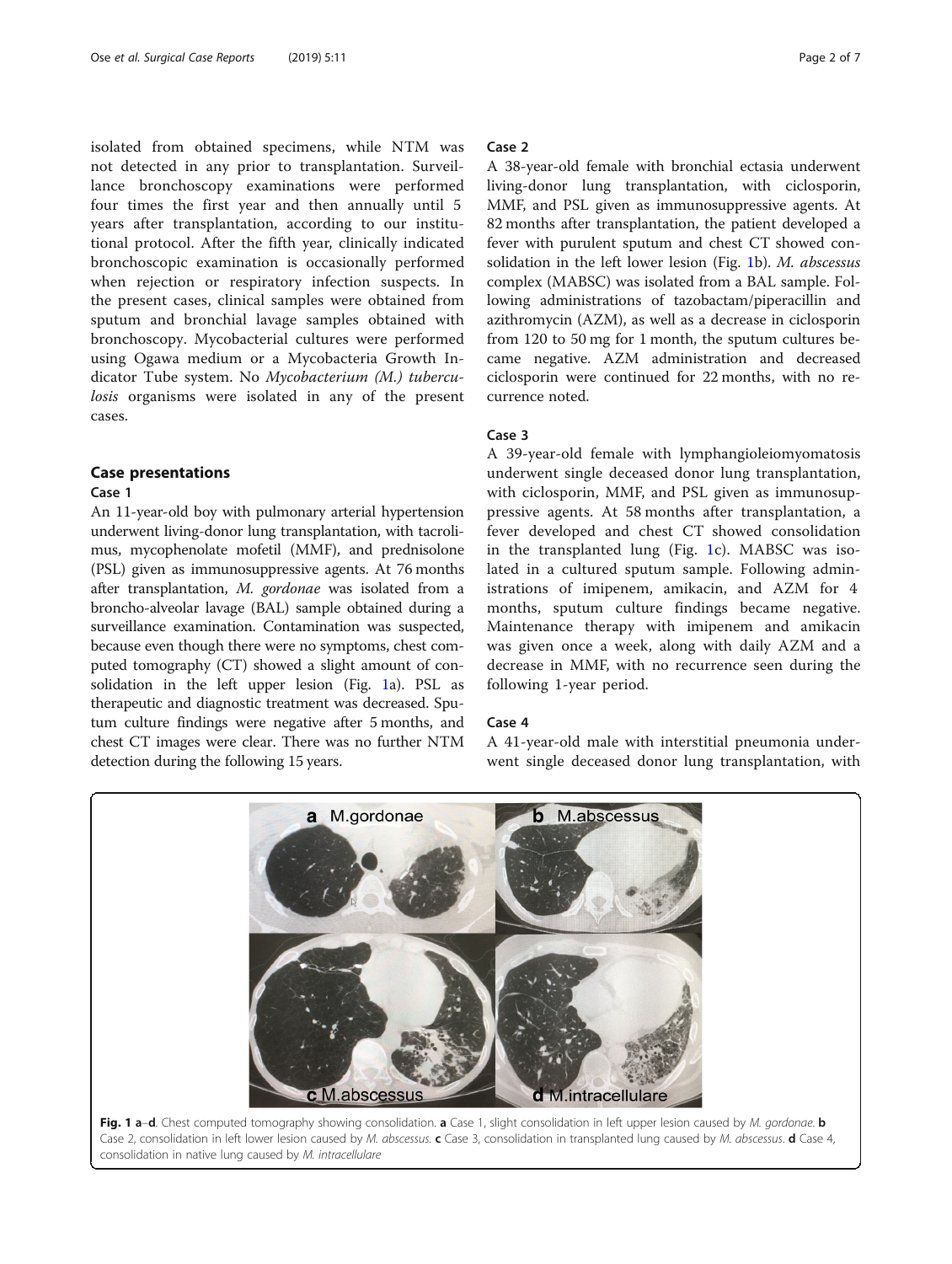<span id="page-1-0"></span>isolated from obtained specimens, while NTM was not detected in any prior to transplantation. Surveillance bronchoscopy examinations were performed four times the first year and then annually until 5 years after transplantation, according to our institutional protocol. After the fifth year, clinically indicated bronchoscopic examination is occasionally performed when rejection or respiratory infection suspects. In the present cases, clinical samples were obtained from sputum and bronchial lavage samples obtained with bronchoscopy. Mycobacterial cultures were performed using Ogawa medium or a Mycobacteria Growth Indicator Tube system. No Mycobacterium (M.) tuberculosis organisms were isolated in any of the present cases.

## Case presentations

#### Case 1

An 11-year-old boy with pulmonary arterial hypertension underwent living-donor lung transplantation, with tacrolimus, mycophenolate mofetil (MMF), and prednisolone (PSL) given as immunosuppressive agents. At 76 months after transplantation, M. gordonae was isolated from a broncho-alveolar lavage (BAL) sample obtained during a surveillance examination. Contamination was suspected, because even though there were no symptoms, chest computed tomography (CT) showed a slight amount of consolidation in the left upper lesion (Fig. 1a). PSL as therapeutic and diagnostic treatment was decreased. Sputum culture findings were negative after 5 months, and chest CT images were clear. There was no further NTM detection during the following 15 years.

## Case 2

A 38-year-old female with bronchial ectasia underwent living-donor lung transplantation, with ciclosporin, MMF, and PSL given as immunosuppressive agents. At 82 months after transplantation, the patient developed a fever with purulent sputum and chest CT showed consolidation in the left lower lesion (Fig. 1b). M. abscessus complex (MABSC) was isolated from a BAL sample. Following administrations of tazobactam/piperacillin and azithromycin (AZM), as well as a decrease in ciclosporin from 120 to 50 mg for 1 month, the sputum cultures became negative. AZM administration and decreased ciclosporin were continued for 22 months, with no recurrence noted.

#### Case 3

A 39-year-old female with lymphangioleiomyomatosis underwent single deceased donor lung transplantation, with ciclosporin, MMF, and PSL given as immunosuppressive agents. At 58 months after transplantation, a fever developed and chest CT showed consolidation in the transplanted lung (Fig. 1c). MABSC was isolated in a cultured sputum sample. Following administrations of imipenem, amikacin, and AZM for 4 months, sputum culture findings became negative. Maintenance therapy with imipenem and amikacin was given once a week, along with daily AZM and a decrease in MMF, with no recurrence seen during the following 1-year period.

#### Case 4

A 41-year-old male with interstitial pneumonia underwent single deceased donor lung transplantation, with

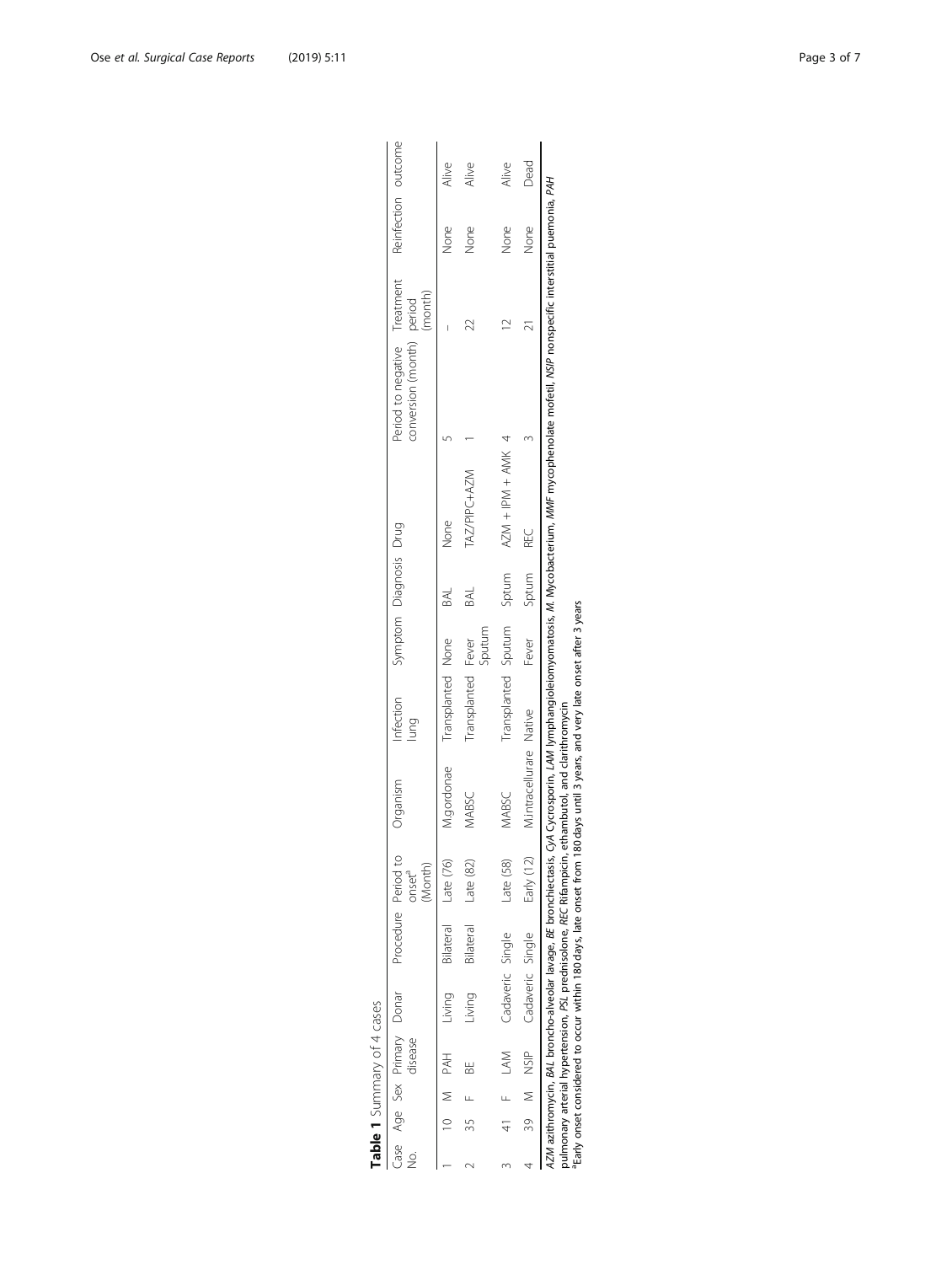| ġ |           | disease |                  | Case Age Sex Primary Donar Procedure Period to                                                                                                                                                                | (Month)<br>pnset <sup>a</sup> | Organism                                                                                   | Infection Symptom Diagnosis Drug |             |     |                   | Period to negative Treatment<br>conversion (month) period                                                                               | (month) | Reinfection outcome |       |
|---|-----------|---------|------------------|---------------------------------------------------------------------------------------------------------------------------------------------------------------------------------------------------------------|-------------------------------|--------------------------------------------------------------------------------------------|----------------------------------|-------------|-----|-------------------|-----------------------------------------------------------------------------------------------------------------------------------------|---------|---------------------|-------|
|   | TAH M PAH |         | Living           | Bilateral Late (76)                                                                                                                                                                                           |                               | M.gordonae                                                                                 | Transplanted None                |             |     | None              |                                                                                                                                         |         | None                | Alive |
|   |           |         | Living           | Bilateral                                                                                                                                                                                                     | Late $(82)$                   | VABSC                                                                                      | Transplanted Fever               | Sputum      | BAL | TAZ/PIPC+AZM      |                                                                                                                                         |         | None                | Alive |
|   | 41 F LAM  |         | Cadaveric Single |                                                                                                                                                                                                               | Late (58)                     | <b>MABSC</b>                                                                               | Transplanted Sputum Sptum        |             |     | AZM + IPM + AMK 4 |                                                                                                                                         |         | None                | Alive |
|   |           |         |                  | 39 M NSIP Cadaveric Single                                                                                                                                                                                    | Early (12)                    | M.intracellurare Native                                                                    |                                  | Fever Sptum |     | ¥C                |                                                                                                                                         |         | None                | Dead  |
|   |           |         |                  | pulmonary arterial hypertension, PSL prednisolone, REC Rifampicin,<br>4ZM azithromycin, BAL broncho-alveolar lavage, BE bronchiectasis,<br>Early onset considered to occur within 180 days, late onset from 1 |                               | 80 days until 3 years, and very late onset after 3 years<br>ethambutol, and clarithromycin |                                  |             |     |                   | CyA Cycrosporin, LAM lymphangioleiomyomatosis, M. Mycobacterium, MMF mycophenolate mofetil, NSIP nonspecific interstitial puemonia, PAH |         |                     |       |

| י<br>יו                     |
|-----------------------------|
| ╗                           |
| ï<br>r                      |
| ş<br>ì<br>۶<br>$\mathbf{r}$ |
| ۱                           |
|                             |

<span id="page-2-0"></span>Ose et al. Surgical Case Reports (2019) 5:11 COSE 10 and 2019 and 2019 and 2019 and 2019 and 2019 and 2019 and 2019 and 2019 and 2019 and 2019 and 2019 and 2019 and 2019 and 2019 and 2019 and 2019 and 2019 and 2019 and 201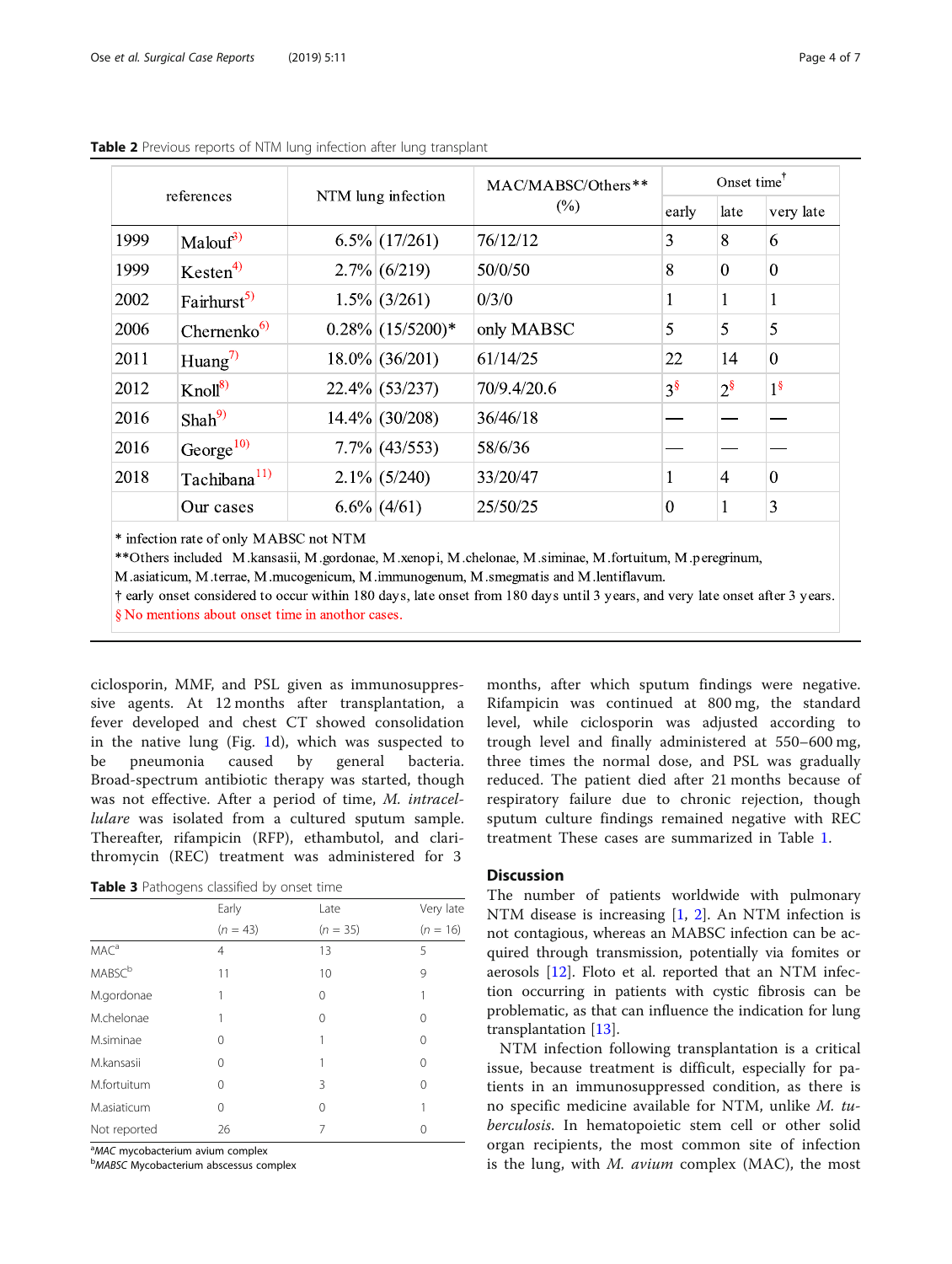|      |                          |                     | MAC/MABSC/Others** | Onset time <sup>T</sup> |                |                |
|------|--------------------------|---------------------|--------------------|-------------------------|----------------|----------------|
|      | references               | NTM lung infection  | $(\%)$             | early                   | late           | very late      |
| 1999 | Malout <sup>3</sup>      | $6.5\%$ (17/261)    | 76/12/12           | 3                       | 8              | 6              |
| 1999 | Kesten <sup>4</sup>      | $2.7\%$ (6/219)     | 50/0/50            | 8                       | $\Omega$       | $\theta$       |
| 2002 | Fairhurst <sup>5)</sup>  | $1.5\%$ (3/261)     | 0/3/0              | 1                       | 1              | $\perp$        |
| 2006 | Chernenko <sup>6</sup>   | $0.28\%$ (15/5200)* | only MABSC         | 5                       | 5              | 5              |
| 2011 | Huang <sup>7)</sup>      | $18.0\%$ (36/201)   | 61/14/25           | 22                      | 14             | $\mathbf{0}$   |
| 2012 | $Knoll^{8}$              | $22.4\%$ (53/237)   | 70/9.4/20.6        | $3^{\$}$                | $2^{\$}$       | 1 <sup>§</sup> |
| 2016 | $Shah^{9}$               | $14.4\%$ (30/208)   | 36/46/18           |                         |                |                |
| 2016 | $George^{10}$            | $7.7\%$ (43/553)    | 58/6/36            |                         |                |                |
| 2018 | Tachibana <sup>11)</sup> | $2.1\%$ (5/240)     | 33/20/47           | $\mathbf{1}$            | $\overline{4}$ | $\overline{0}$ |
|      | Our cases                | $6.6\%$ (4/61)      | 25/50/25           | $\Omega$                | 1              | 3              |

<span id="page-3-0"></span>Table 2 Previous reports of NTM lung infection after lung transplant

\* infection rate of only MABSC not NTM

\*\* Others included M.kansasii, M.gordonae, M.xenopi, M.chelonae, M.siminae, M.fortuitum, M.peregrinum,

M.asiaticum, M.terrae, M.mucogenicum, M.immunogenum, M.smegmatis and M.lentiflavum.

† early onset considered to occur within 180 days, late onset from 180 days until 3 years, and very late onset after 3 years. § No mentions about onset time in anothor cases.

ciclosporin, MMF, and PSL given as immunosuppressive agents. At 12 months after transplantation, a fever developed and chest CT showed consolidation in the native lung (Fig. [1](#page-1-0)d), which was suspected to be pneumonia caused by general bacteria. Broad-spectrum antibiotic therapy was started, though was not effective. After a period of time, M. intracellulare was isolated from a cultured sputum sample. Thereafter, rifampicin (RFP), ethambutol, and clarithromycin (REC) treatment was administered for 3

|  | Table 3 Pathogens classified by onset time |  |  |  |  |
|--|--------------------------------------------|--|--|--|--|
|--|--------------------------------------------|--|--|--|--|

|                           | Early          | Late       | Very late  |
|---------------------------|----------------|------------|------------|
|                           | $(n = 43)$     | $(n = 35)$ | $(n = 16)$ |
| MAC <sup>a</sup>          | $\overline{4}$ | 13         | 5          |
| <b>MABSC</b> <sup>b</sup> | 11             | 10         | 9          |
| M.gordonae                | 1              | 0          | 1          |
| M.chelonae                |                | 0          | 0          |
| M.siminae                 | 0              | 1          | 0          |
| M.kansasii                | 0              |            | 0          |
| M.fortuitum               | 0              | 3          | 0          |
| M.asiaticum               | 0              | 0          |            |
| Not reported              | 26             | 7          |            |

<sup>a</sup>MAC mycobacterium avium complex <sup>a</sup>MAC mycobacterium avium complex<br><sup>b</sup>M48SC Mycobacterium abscessus co

MABSC Mycobacterium abscessus complex

months, after which sputum findings were negative. Rifampicin was continued at 800 mg, the standard level, while ciclosporin was adjusted according to trough level and finally administered at 550–600 mg, three times the normal dose, and PSL was gradually reduced. The patient died after 21 months because of respiratory failure due to chronic rejection, though sputum culture findings remained negative with REC treatment These cases are summarized in Table [1.](#page-2-0)

## **Discussion**

The number of patients worldwide with pulmonary NTM disease is increasing [\[1](#page-6-0), [2](#page-6-0)]. An NTM infection is not contagious, whereas an MABSC infection can be acquired through transmission, potentially via fomites or aerosols [[12\]](#page-6-0). Floto et al. reported that an NTM infection occurring in patients with cystic fibrosis can be problematic, as that can influence the indication for lung transplantation [[13\]](#page-6-0).

NTM infection following transplantation is a critical issue, because treatment is difficult, especially for patients in an immunosuppressed condition, as there is no specific medicine available for NTM, unlike M. tuberculosis. In hematopoietic stem cell or other solid organ recipients, the most common site of infection is the lung, with  $M$ . *avium* complex (MAC), the most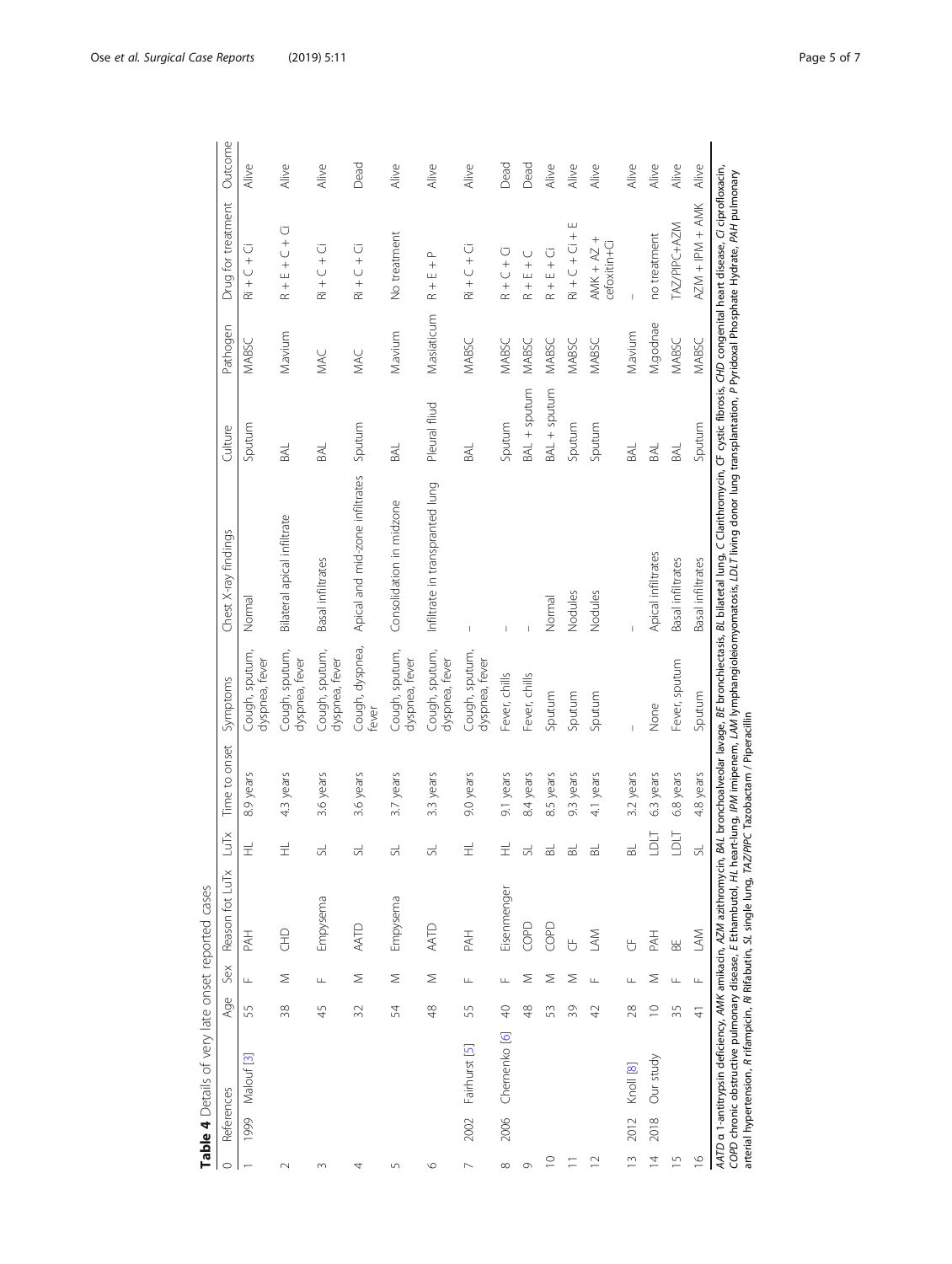|                       | Table 4 Details of very late onset reported cases                                                                                                                         |                |     |          |                 |                |               |                                  |                                                                                                                                                                                                                                                                                                                                                                      |               |              |                                                        |         |
|-----------------------|---------------------------------------------------------------------------------------------------------------------------------------------------------------------------|----------------|-----|----------|-----------------|----------------|---------------|----------------------------------|----------------------------------------------------------------------------------------------------------------------------------------------------------------------------------------------------------------------------------------------------------------------------------------------------------------------------------------------------------------------|---------------|--------------|--------------------------------------------------------|---------|
| $\circ$               | References                                                                                                                                                                |                | Age | Sex      | Reason fot LuTx | LuTx           | Time to onset | Symptoms                         | Chest X-ray findings                                                                                                                                                                                                                                                                                                                                                 | Culture       | Pathogen     | Drug for treatment                                     | Outcome |
|                       | 1999 Malouf [3]                                                                                                                                                           | 55             |     | $\sqcup$ | PAH             | $\pm$          | 8.9 years     | Cough, sputum,<br>dyspnea, fever | Normal                                                                                                                                                                                                                                                                                                                                                               | Sputum        | <b>MABSC</b> | ü<br>$\overline{\cup}$<br>$\frac{1}{\alpha}$           | Alive   |
| $\sim$                |                                                                                                                                                                           | 38             |     | Σ        | EHD             | $\pm$          | 4.3 years     | Cough, sputum,<br>dyspnea, fever | Bilateral apical infiltrate                                                                                                                                                                                                                                                                                                                                          | BAL           | Mavium       | Ū<br>$+$<br>$-$<br>$+$<br>$+$<br>$+\infty$             | Alive   |
| 3                     |                                                                                                                                                                           | 45             |     | Щ        | Empysema        | 5              | 3.6 years     | Cough, sputum,<br>dyspnea, fever | Basal infiltrates                                                                                                                                                                                                                                                                                                                                                    | BAL           | MAC          | $\overline{R}$ i + $C$ + $\overline{C}$                | Alive   |
| 4                     |                                                                                                                                                                           | 32             |     | Σ        | AATD            | $\frac{1}{2}$  | 3.6 years     | Cough, dyspnea,<br>fever         | Apical and mid-zone infiltrates                                                                                                                                                                                                                                                                                                                                      | Sputum        | MAC          | $\overline{R}$ i + C + Ci                              | Dead    |
| $\overline{5}$        |                                                                                                                                                                           | 54             |     | Σ        | Empysema        | 5              | 3.7 years     | Cough, sputum,<br>dyspnea, fever | Consolidation in midzone                                                                                                                                                                                                                                                                                                                                             | BAL           | Mavium       | No treatment                                           | Alive   |
| $\circ$               |                                                                                                                                                                           | 48             |     | Σ        | AATD            | $\overline{5}$ | 3.3 years     | Cough, sputum,<br>dyspnea, fever | Infiltrate in transpranted lung                                                                                                                                                                                                                                                                                                                                      | Pleural fliud | M.asiaticum  | $R + E + P$                                            | Alive   |
| $\sim$                | Fairhurst [5]<br>2002                                                                                                                                                     | 55             |     | $\sqcup$ | PAH             | $\pm$          | 9.0 years     | Cough, sputum,<br>dyspnea, fever | I                                                                                                                                                                                                                                                                                                                                                                    | BAL           | MABSC        | $\overline{R}$ i + C + Ci                              | Alive   |
| $\infty$              | Chernenko [6]<br>2006                                                                                                                                                     | $\overline{a}$ |     | $\sqcup$ | Eisenmenger     | $\pm$          | 9.1 years     | Fever, chills                    | Ï                                                                                                                                                                                                                                                                                                                                                                    | Sputum        | MABSC        | $C + C + C$                                            | Dead    |
| $\circ$               |                                                                                                                                                                           | 48             |     | Σ        | COPD            | $\Xi$          | 8.4 years     | Fever, chills                    |                                                                                                                                                                                                                                                                                                                                                                      | BAL + sputum  | MABSC        | $E + C$<br>$^{+}$<br>$\propto$                         | Dead    |
| $\supseteq$           |                                                                                                                                                                           | 53             |     | Σ        | COPD            | $\Xi$          | 8.5 years     | Sputum                           | Normal                                                                                                                                                                                                                                                                                                                                                               | BAL + sputum  | MABSC        | $R + E + C1$                                           | Alive   |
| $\equiv$              |                                                                                                                                                                           | 39             |     | Σ        | $\overline{C}$  | $\Xi$          | 9.3 years     | Sputum                           | Nodules                                                                                                                                                                                                                                                                                                                                                              | Sputum        | MABSC        | ш<br>$+\overline{C}$ + $\overline{C}$ + $\overline{C}$ | Alive   |
| $\approx$             |                                                                                                                                                                           | 42             |     | Щ        | <b>NN</b>       | $\Xi$          | 4.1 years     | Sputum                           | Nodules                                                                                                                                                                                                                                                                                                                                                              | Sputum        | MABSC        | $ANK + AZ +$<br>cefoxitin+Ci                           | Alive   |
| $\sim$                | Knoll [8]<br>2012                                                                                                                                                         | 28             |     | Щ        | $\overline{C}$  | $\Xi$          | 3.2 years     | Ï                                |                                                                                                                                                                                                                                                                                                                                                                      | BAL           | Mavium       | $\mathbf{I}$                                           | Alive   |
| $\overline{4}$        | Our study<br>2018                                                                                                                                                         | $\supseteq$    |     | Σ        | PAH             | <b>LDLT</b>    | 6.3 years     | None                             | Apical infiltrates                                                                                                                                                                                                                                                                                                                                                   | BAL           | M.godnae     | no treatment                                           | Alive   |
| $\overline{1}$        |                                                                                                                                                                           | 35             |     | Щ        | $\mathbb B$     | LDLT           | 6.8 years     | Fever, sputum                    | Basal infiltrates                                                                                                                                                                                                                                                                                                                                                    | BAL           | MABSC        | TAZ/PIPC+AZM                                           | Alive   |
| $\frac{\circ}{\circ}$ |                                                                                                                                                                           | $\frac{4}{5}$  |     | $\sqcup$ | $\leq$          | 贵              | 4.8 years     | Sputum                           | Basal infiltrates                                                                                                                                                                                                                                                                                                                                                    | Sputum        | MABSC        | $AZM + IPM + AMK$                                      | Alive   |
|                       | arterial hypertension, R rifampicin, Ri Rifabutin, SL single lung, TAZ/PIPC Tazobactam / Piperacillin<br>AATD a 1-antitrypsin deficiency, AMK amikacin, AZM azithromycin, |                |     |          |                 |                |               |                                  | BAL bronchoalveolar lavage, BE bronchiectasis, BL bilatetal lung, C Clarithromycin, CF cystic fibrosis, CHD congenital heart disease, Ci ciprofloxacin,<br>COPD chronic obstructive pulmonary disease, E Ethambutol, HL heart-lung, IPM imipenem, LAM lymphangioleiomyomatosis, LDLT living donor lung transplantation, P Pyridoxal Phosphate Hydrate, PAH pulmonary |               |              |                                                        |         |
|                       |                                                                                                                                                                           |                |     |          |                 |                |               |                                  |                                                                                                                                                                                                                                                                                                                                                                      |               |              |                                                        |         |

<span id="page-4-0"></span>Ose et al. Surgical Case Reports (2019) 5:11 COSE 10 and 2019 and 2019 and 2019 and 2019 and 2019 and 2019 and 2019 and 2019 and 2019 and 2019 and 2019 and 2019 and 2019 and 2019 and 2019 and 2019 and 2019 and 2019 and 201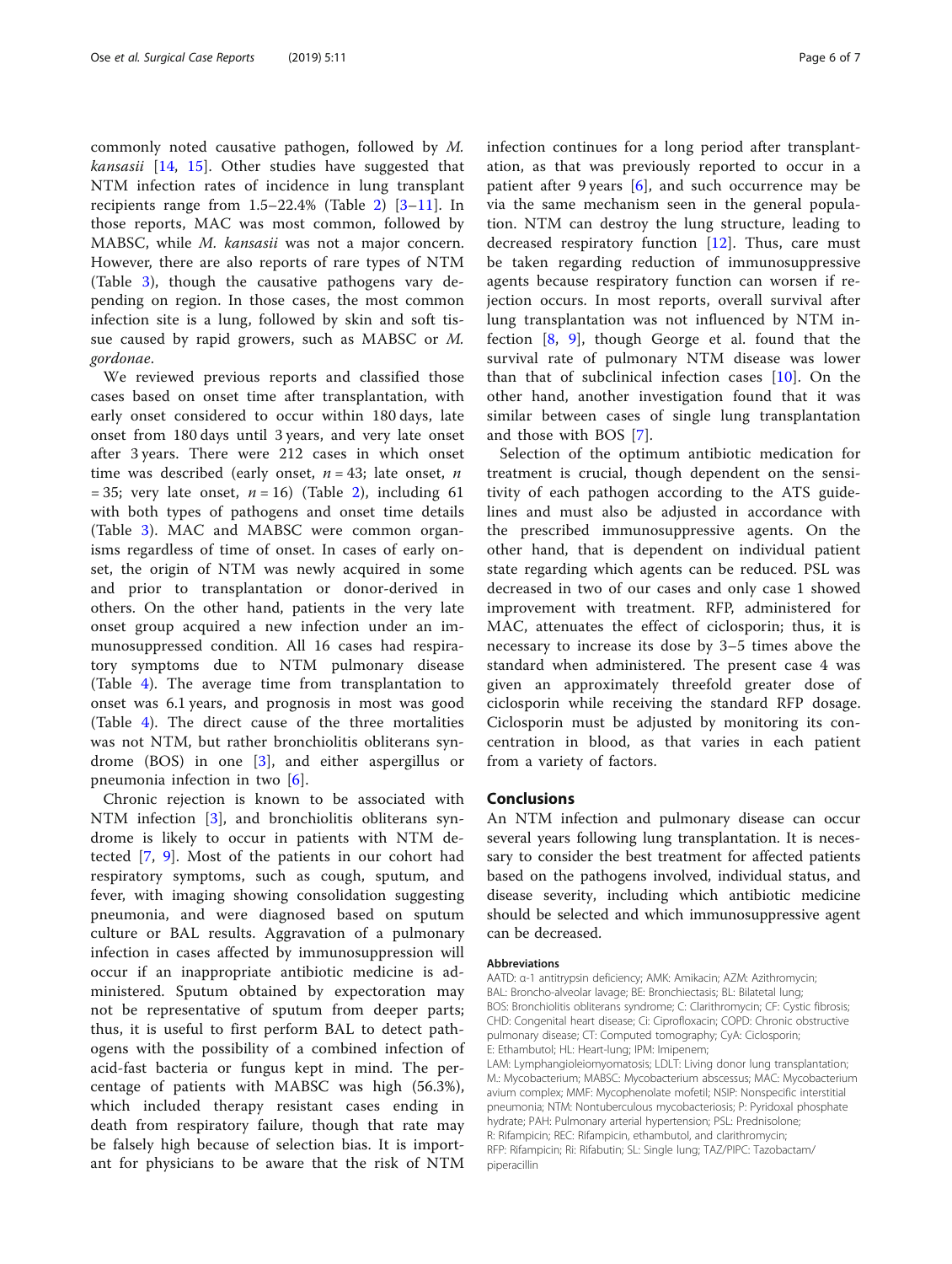commonly noted causative pathogen, followed by M. *kansasii*  $[14, 15]$  $[14, 15]$  $[14, 15]$  $[14, 15]$ . Other studies have suggested that NTM infection rates of incidence in lung transplant recipients range from  $1.5-22.4\%$  (Table [2\)](#page-3-0)  $[3-11]$  $[3-11]$  $[3-11]$  $[3-11]$ . In those reports, MAC was most common, followed by MABSC, while M. kansasii was not a major concern. However, there are also reports of rare types of NTM (Table [3\)](#page-3-0), though the causative pathogens vary depending on region. In those cases, the most common infection site is a lung, followed by skin and soft tissue caused by rapid growers, such as MABSC or M. gordonae.

We reviewed previous reports and classified those cases based on onset time after transplantation, with early onset considered to occur within 180 days, late onset from 180 days until 3 years, and very late onset after 3 years. There were 212 cases in which onset time was described (early onset,  $n = 43$ ; late onset, *n* = 35; very late onset,  $n = 16$ ) (Table [2](#page-3-0)), including 61 with both types of pathogens and onset time details (Table [3](#page-3-0)). MAC and MABSC were common organisms regardless of time of onset. In cases of early onset, the origin of NTM was newly acquired in some and prior to transplantation or donor-derived in others. On the other hand, patients in the very late onset group acquired a new infection under an immunosuppressed condition. All 16 cases had respiratory symptoms due to NTM pulmonary disease (Table [4](#page-4-0)). The average time from transplantation to onset was 6.1 years, and prognosis in most was good (Table [4](#page-4-0)). The direct cause of the three mortalities was not NTM, but rather bronchiolitis obliterans syndrome (BOS) in one [[3\]](#page-6-0), and either aspergillus or pneumonia infection in two [[6\]](#page-6-0).

Chronic rejection is known to be associated with NTM infection [\[3](#page-6-0)], and bronchiolitis obliterans syndrome is likely to occur in patients with NTM detected [[7,](#page-6-0) [9\]](#page-6-0). Most of the patients in our cohort had respiratory symptoms, such as cough, sputum, and fever, with imaging showing consolidation suggesting pneumonia, and were diagnosed based on sputum culture or BAL results. Aggravation of a pulmonary infection in cases affected by immunosuppression will occur if an inappropriate antibiotic medicine is administered. Sputum obtained by expectoration may not be representative of sputum from deeper parts; thus, it is useful to first perform BAL to detect pathogens with the possibility of a combined infection of acid-fast bacteria or fungus kept in mind. The percentage of patients with MABSC was high (56.3%), which included therapy resistant cases ending in death from respiratory failure, though that rate may be falsely high because of selection bias. It is important for physicians to be aware that the risk of NTM infection continues for a long period after transplantation, as that was previously reported to occur in a patient after 9 years  $[6]$  $[6]$ , and such occurrence may be via the same mechanism seen in the general population. NTM can destroy the lung structure, leading to decreased respiratory function [\[12](#page-6-0)]. Thus, care must be taken regarding reduction of immunosuppressive agents because respiratory function can worsen if rejection occurs. In most reports, overall survival after lung transplantation was not influenced by NTM infection [[8,](#page-6-0) [9\]](#page-6-0), though George et al. found that the survival rate of pulmonary NTM disease was lower than that of subclinical infection cases [[10\]](#page-6-0). On the other hand, another investigation found that it was similar between cases of single lung transplantation and those with BOS [\[7](#page-6-0)].

Selection of the optimum antibiotic medication for treatment is crucial, though dependent on the sensitivity of each pathogen according to the ATS guidelines and must also be adjusted in accordance with the prescribed immunosuppressive agents. On the other hand, that is dependent on individual patient state regarding which agents can be reduced. PSL was decreased in two of our cases and only case 1 showed improvement with treatment. RFP, administered for MAC, attenuates the effect of ciclosporin; thus, it is necessary to increase its dose by 3–5 times above the standard when administered. The present case 4 was given an approximately threefold greater dose of ciclosporin while receiving the standard RFP dosage. Ciclosporin must be adjusted by monitoring its concentration in blood, as that varies in each patient from a variety of factors.

#### Conclusions

An NTM infection and pulmonary disease can occur several years following lung transplantation. It is necessary to consider the best treatment for affected patients based on the pathogens involved, individual status, and disease severity, including which antibiotic medicine should be selected and which immunosuppressive agent can be decreased.

#### Abbreviations

AATD: α-1 antitrypsin deficiency; AMK: Amikacin; AZM: Azithromycin; BAL: Broncho-alveolar lavage; BE: Bronchiectasis; BL: Bilatetal lung; BOS: Bronchiolitis obliterans syndrome; C: Clarithromycin; CF: Cystic fibrosis; CHD: Congenital heart disease; Ci: Ciprofloxacin; COPD: Chronic obstructive pulmonary disease; CT: Computed tomography; CyA: Ciclosporin; E: Ethambutol; HL: Heart-lung; IPM: Imipenem; LAM: Lymphangioleiomyomatosis; LDLT: Living donor lung transplantation;

M.: Mycobacterium; MABSC: Mycobacterium abscessus; MAC: Mycobacterium avium complex; MMF: Mycophenolate mofetil; NSIP: Nonspecific interstitial pneumonia; NTM: Nontuberculous mycobacteriosis; P: Pyridoxal phosphate hydrate; PAH: Pulmonary arterial hypertension; PSL: Prednisolone; R: Rifampicin; REC: Rifampicin, ethambutol, and clarithromycin; RFP: Rifampicin; Ri: Rifabutin; SL: Single lung; TAZ/PIPC: Tazobactam/ piperacillin